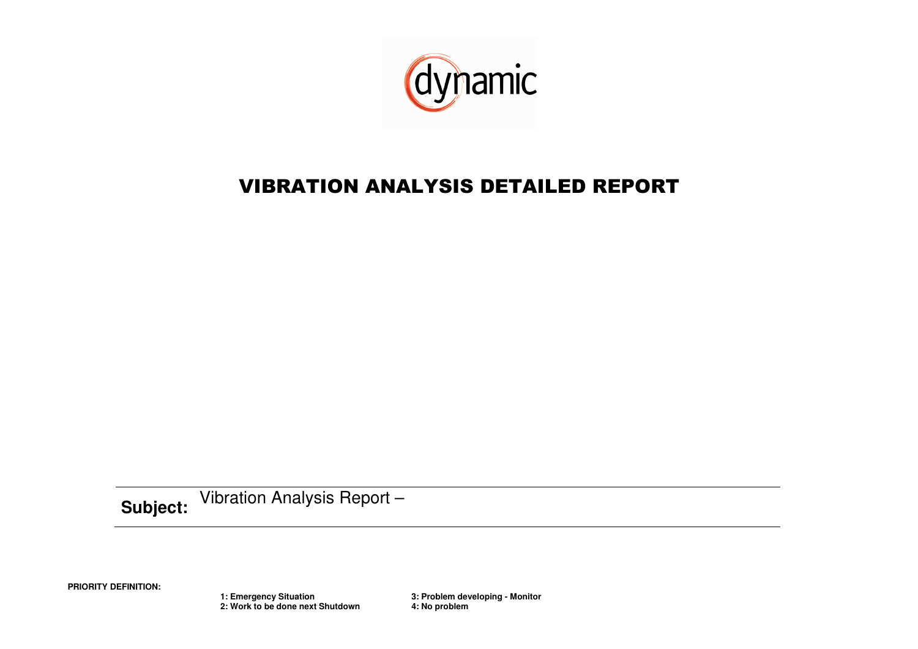

# VIBRATION ANALYSIS DETAILED REPORT

**Subject:**Vibration Analysis Report –

**PRIORITY DEFINITION:** 

 **1: Emergency Situation 3: Problem developing - Monitor 2: Work to be done next Shutdown 4: No problem**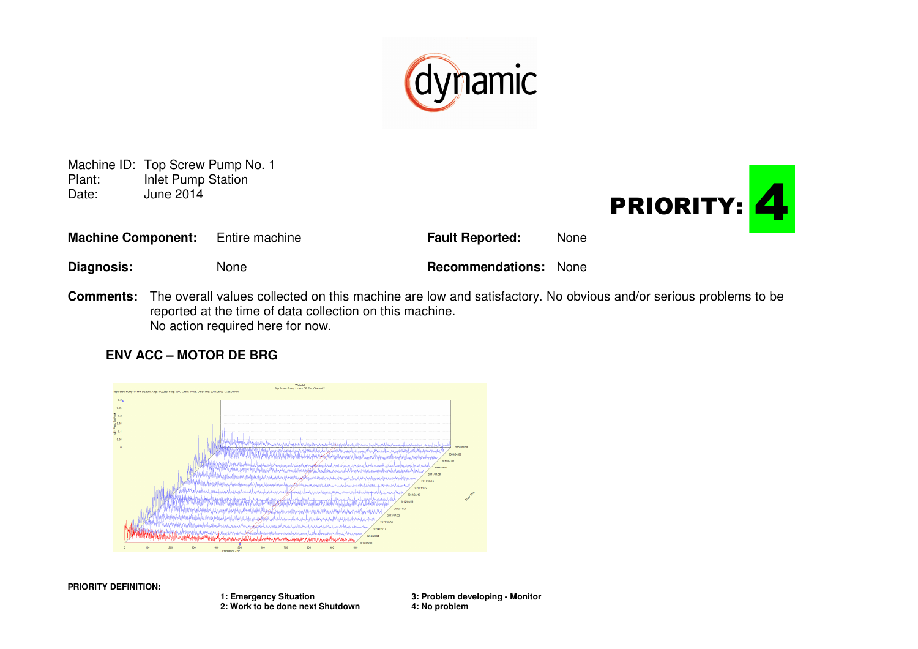

Machine ID: Top Screw Pump No. 1<br>Plant: Inlet Pump Station Plant: Inlet Pump Station<br>Date: June 2014 June 2014



| <b>Machine Component:</b> | Entire machine | <b>Fault Reported:</b>       | None |
|---------------------------|----------------|------------------------------|------|
| Diagnosis:                | None           | <b>Recommendations:</b> None |      |

**Comments:** The overall values collected on this machine are low and satisfactory. No obvious and/or serious problems to be reported at the time of data collection on this machine. No action required here for now.

### **ENV ACC – MOTOR DE BRG**



**PRIORITY DEFINITION:** 

 **1: Emergency Situation 3: Problem developing - Monitor 2: Work to be done next Shutdown 4: No problem**

3: Problem developing - Monitor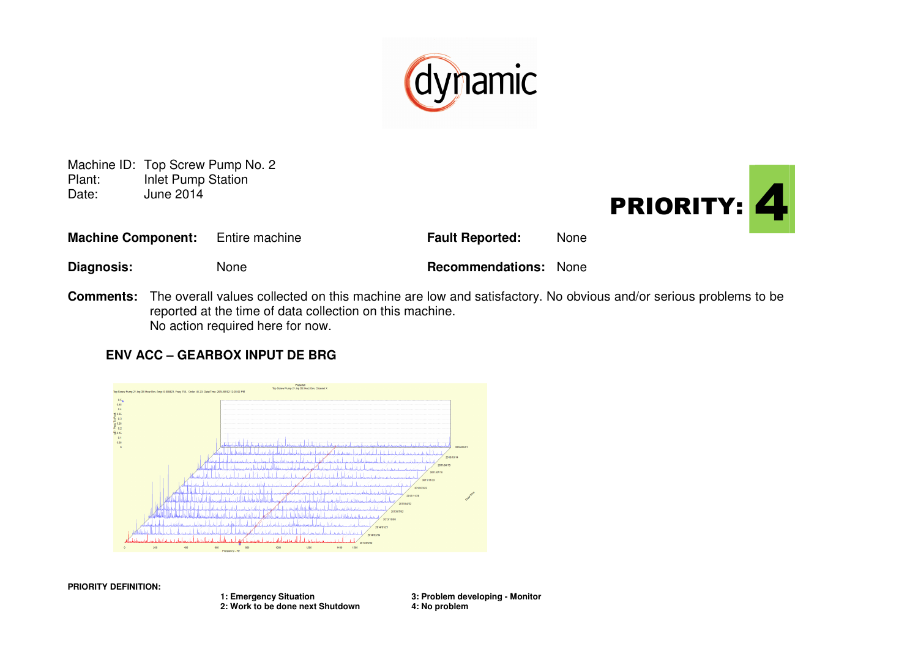

Machine ID: Top Screw Pump No. 2<br>Plant: Inlet Pump Station **Inlet Pump Station** Date: June 2014



| <b>Machine Component:</b> | Entire machine | <b>Fault Reported:</b>       | <b>None</b> |
|---------------------------|----------------|------------------------------|-------------|
| Diagnosis:                | None           | <b>Recommendations:</b> None |             |

**Comments:** The overall values collected on this machine are low and satisfactory. No obvious and/or serious problems to be reported at the time of data collection on this machine. No action required here for now.

### **ENV ACC – GEARBOX INPUT DE BRG**



**PRIORITY DEFINITION:** 

 **1: Emergency Situation 3: Problem developing - Monitor 2: Work to be done next Shutdown 4: No problem**

3: Problem developing - Monitor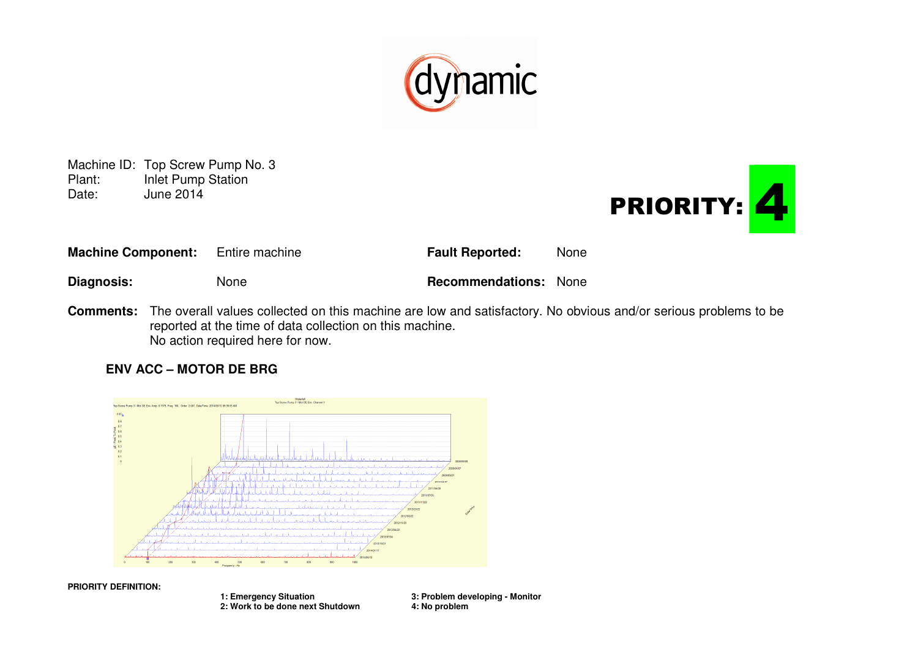

Machine ID: Top Screw Pump No. 3<br>Plant: Inlet Pump Station **Inlet Pump Station** Date: June 2014



| <b>Machine Component:</b> | Entire machine | <b>Fault Reported:</b>       | <b>None</b> |
|---------------------------|----------------|------------------------------|-------------|
| Diagnosis:                | <b>None</b>    | <b>Recommendations:</b> None |             |

**Comments:** The overall values collected on this machine are low and satisfactory. No obvious and/or serious problems to be reported at the time of data collection on this machine. No action required here for now.

## **ENV ACC – MOTOR DE BRG**



**PRIORITY DEFINITION:** 

 **1: Emergency Situation 3: Problem developing - Monitor 2: Work to be done next Shutdown 4: No problem**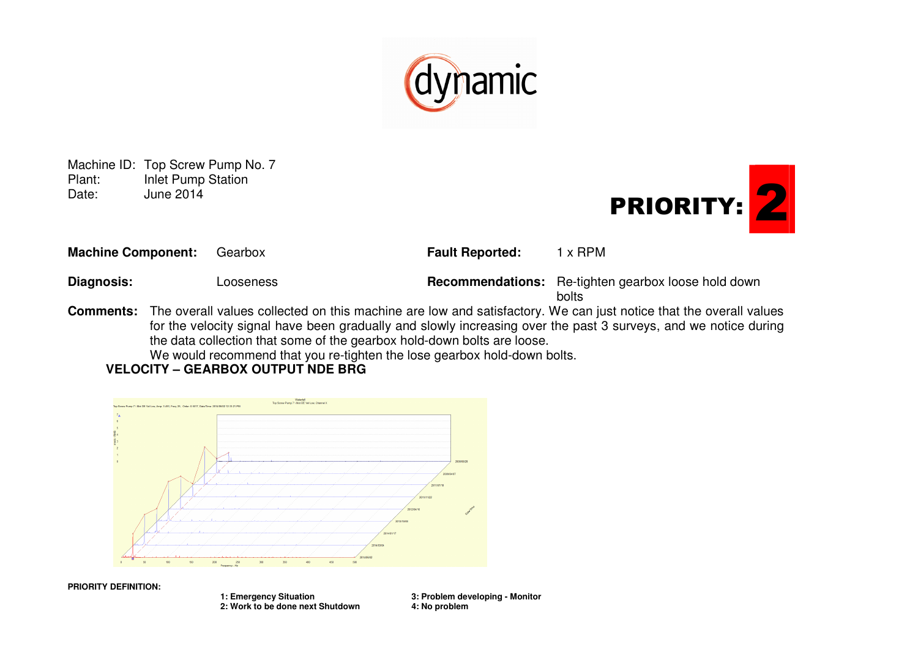

Machine ID: Top Screw Pump No. 7<br>Plant: Inlet Pump Station **Inlet Pump Station** Date: June 2014



| <b>Machine Component:</b> | Gearbox                                                                                                             | <b>Fault Reported:</b> | 1 x RPM                                                             |
|---------------------------|---------------------------------------------------------------------------------------------------------------------|------------------------|---------------------------------------------------------------------|
| <b>Diagnosis:</b>         | Looseness                                                                                                           |                        | <b>Recommendations:</b> Re-tighten gearbox loose hold down<br>bolts |
|                           | Commenter. The current united eatherly and this medicine and realistations. We see ited water that the current unit |                        |                                                                     |

**Comments:** The overall values collected on this machine are low and satisfactory. We can just notice that the overall values for the velocity signal have been gradually and slowly increasing over the past 3 surveys, and we notice during the data collection that some of the gearbox hold-down bolts are loose.

We would recommend that you re-tighten the lose gearbox hold-down bolts.

**VELOCITY – GEARBOX OUTPUT NDE BRG** 



**PRIORITY DEFINITION:** 

 **1: Emergency Situation 3: Problem developing - Monitor** 2: Work to be done next Shutdown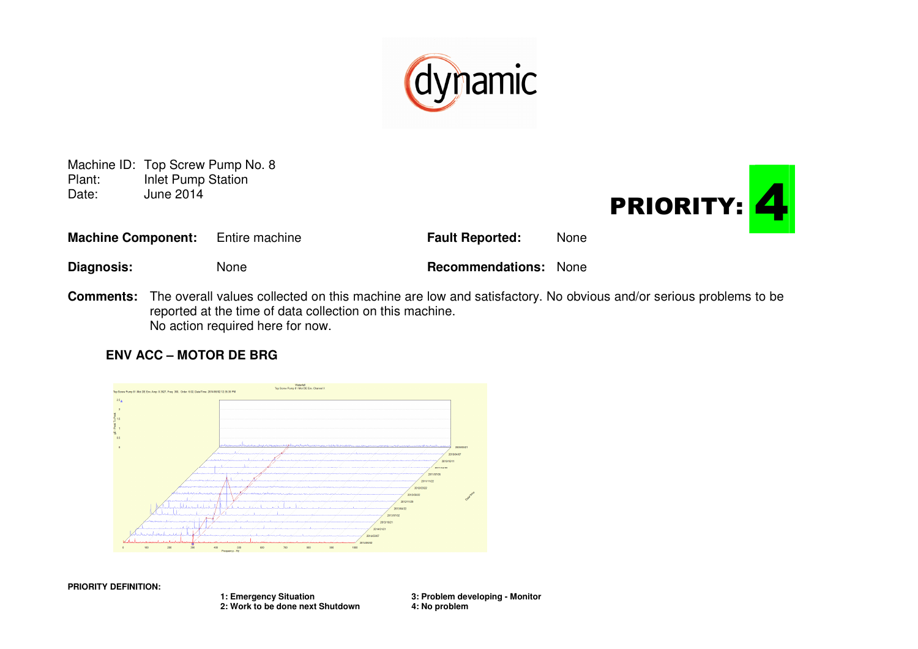

Machine ID: Top Screw Pump No. 8<br>Plant: Inlet Pump Station Plant: Inlet Pump Station<br>Date: June 2014 June 2014



| <b>Machine Component:</b> | Entire machine | <b>Fault Reported:</b>       | <b>None</b> |
|---------------------------|----------------|------------------------------|-------------|
| <b>Diagnosis:</b>         | None           | <b>Recommendations:</b> None |             |

**Comments:** The overall values collected on this machine are low and satisfactory. No obvious and/or serious problems to be reported at the time of data collection on this machine. No action required here for now.

### **ENV ACC – MOTOR DE BRG**



**PRIORITY DEFINITION:** 

 **1: Emergency Situation 3: Problem developing - Monitor 2: Work to be done next Shutdown 4: No problem**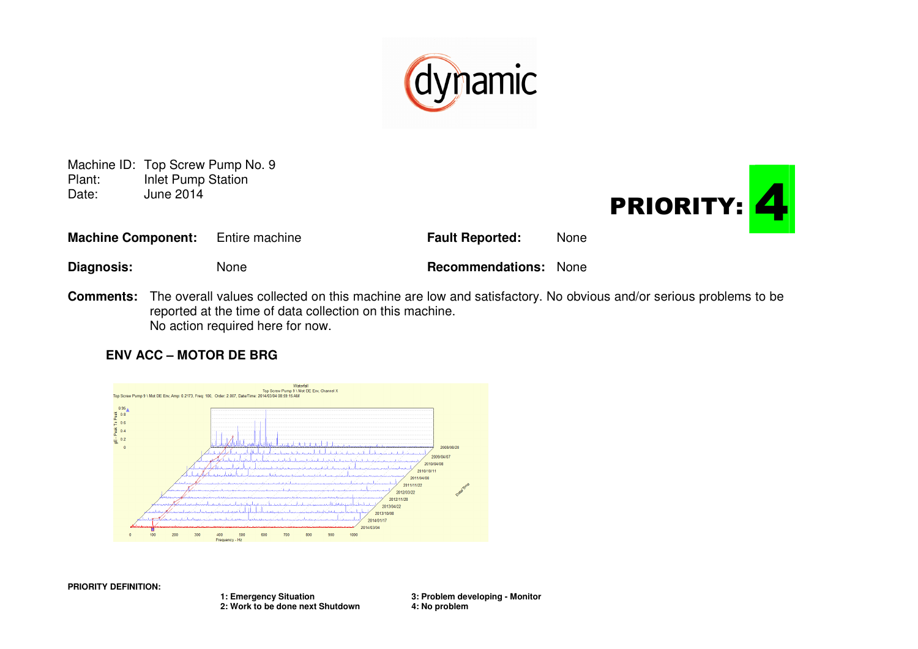

Machine ID: Top Screw Pump No. 9<br>Plant: Inlet Pump Station **Inlet Pump Station** Date: June 2014



| <b>Machine Component:</b> | Entire machine | <b>Fault Reported:</b>       | <b>None</b> |
|---------------------------|----------------|------------------------------|-------------|
| Diagnosis:                | None           | <b>Recommendations:</b> None |             |

**Comments:** The overall values collected on this machine are low and satisfactory. No obvious and/or serious problems to be reported at the time of data collection on this machine. No action required here for now.

### **ENV ACC – MOTOR DE BRG**



**PRIORITY DEFINITION:** 

 **1: Emergency Situation 3: Problem developing - Monitor 2: Work to be done next Shutdown 4: No problem**